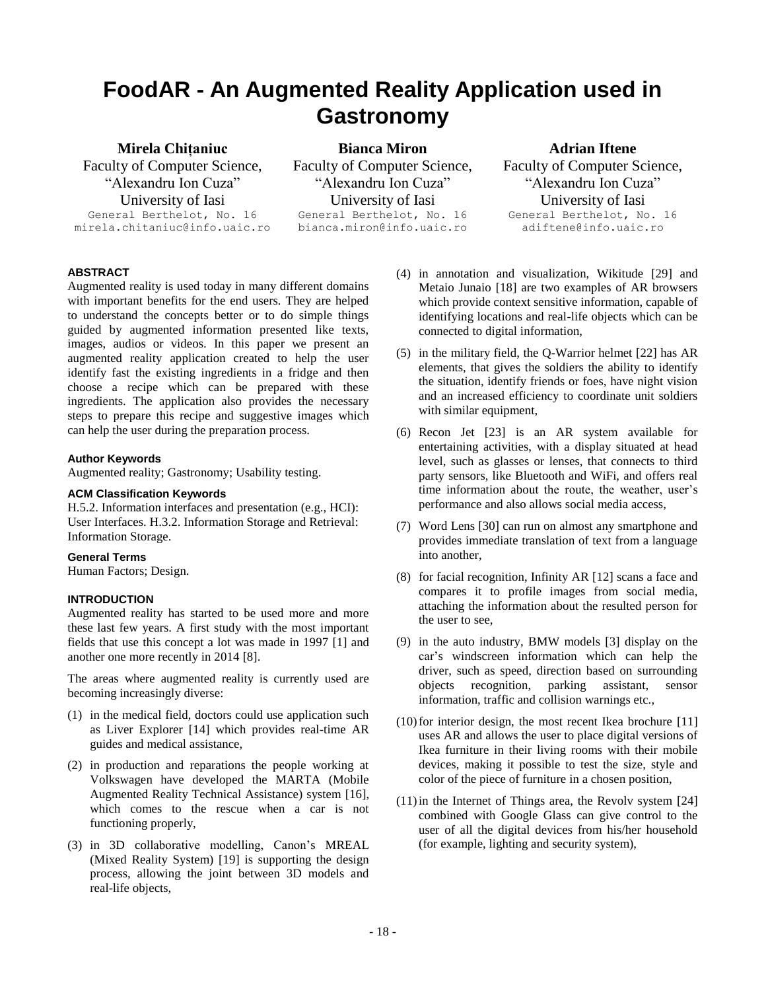# **FoodAR - An Augmented Reality Application used in Gastronomy**

#### **Mirela Chițaniuc**

Faculty of Computer Science, "Alexandru Ion Cuza" University of Iasi General Berthelot, No. 16 mirela.chitaniuc@info.uaic.ro

**Bianca Miron** Faculty of Computer Science, "Alexandru Ion Cuza" University of Iasi General Berthelot, No. 16 bianca.miron@info.uaic.ro

#### **Adrian Iftene**

Faculty of Computer Science, "Alexandru Ion Cuza" University of Iasi General Berthelot, No. 16 adiftene@info.uaic.ro

#### **ABSTRACT**

Augmented reality is used today in many different domains with important benefits for the end users. They are helped to understand the concepts better or to do simple things guided by augmented information presented like texts, images, audios or videos. In this paper we present an augmented reality application created to help the user identify fast the existing ingredients in a fridge and then choose a recipe which can be prepared with these ingredients. The application also provides the necessary steps to prepare this recipe and suggestive images which can help the user during the preparation process.

#### **Author Keywords**

Augmented reality; Gastronomy; Usability testing.

#### **ACM Classification Keywords**

H.5.2. Information interfaces and presentation (e.g., HCI): User Interfaces. H.3.2. Information Storage and Retrieval: Information Storage.

#### **General Terms**

Human Factors; Design.

#### **INTRODUCTION**

Augmented reality has started to be used more and more these last few years. A first study with the most important fields that use this concept a lot was made in 1997 [1] and another one more recently in 2014 [8].

The areas where augmented reality is currently used are becoming increasingly diverse:

- (1) in the medical field, doctors could use application such as Liver Explorer [14] which provides real-time AR guides and medical assistance,
- (2) in production and reparations the people working at Volkswagen have developed the MARTA (Mobile Augmented Reality Technical Assistance) system [16], which comes to the rescue when a car is not functioning properly,
- (3) in 3D collaborative modelling, Canon's MREAL (Mixed Reality System) [19] is supporting the design process, allowing the joint between 3D models and real-life objects,
- (4) in annotation and visualization, Wikitude [29] and Metaio Junaio [18] are two examples of AR browsers which provide context sensitive information, capable of identifying locations and real-life objects which can be connected to digital information,
- (5) in the military field, the Q-Warrior helmet [22] has AR elements, that gives the soldiers the ability to identify the situation, identify friends or foes, have night vision and an increased efficiency to coordinate unit soldiers with similar equipment,
- (6) Recon Jet [23] is an AR system available for entertaining activities, with a display situated at head level, such as glasses or lenses, that connects to third party sensors, like Bluetooth and WiFi, and offers real time information about the route, the weather, user's performance and also allows social media access,
- (7) Word Lens [30] can run on almost any smartphone and provides immediate translation of text from a language into another,
- (8) for facial recognition, Infinity AR [12] scans a face and compares it to profile images from social media, attaching the information about the resulted person for the user to see,
- (9) in the auto industry, BMW models [3] display on the car's windscreen information which can help the driver, such as speed, direction based on surrounding objects recognition, parking assistant, sensor information, traffic and collision warnings etc.,
- $(10)$  for interior design, the most recent Ikea brochure  $[11]$ uses AR and allows the user to place digital versions of Ikea furniture in their living rooms with their mobile devices, making it possible to test the size, style and color of the piece of furniture in a chosen position,
- $(11)$  in the Internet of Things area, the Revolv system  $[24]$ combined with Google Glass can give control to the user of all the digital devices from his/her household (for example, lighting and security system),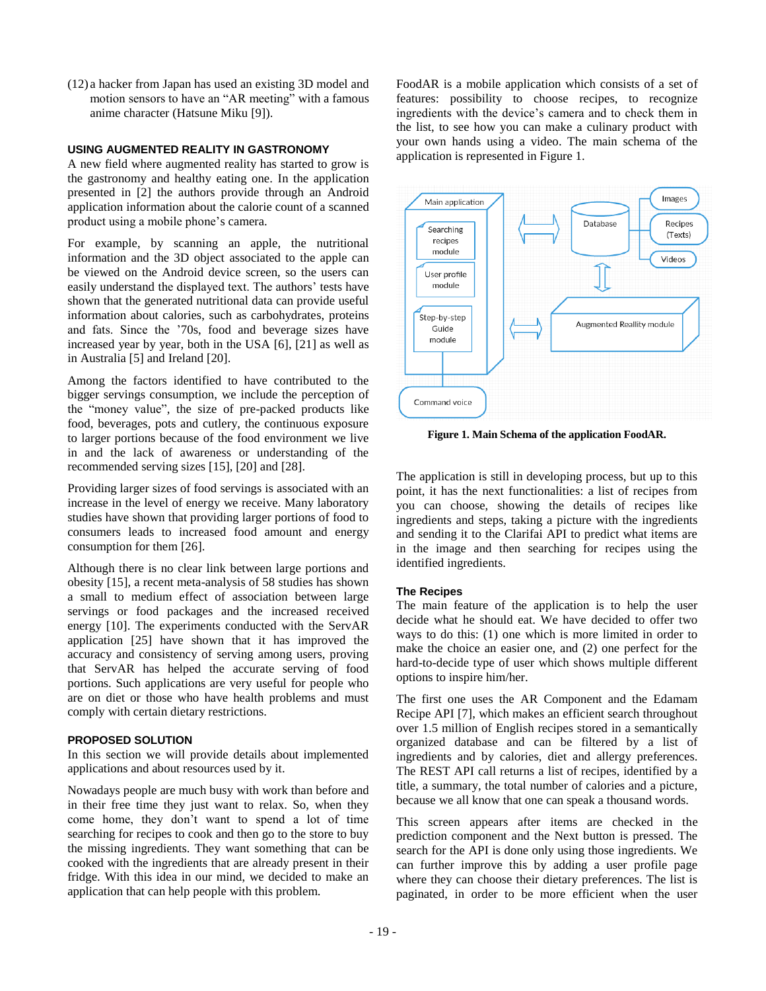(12) a hacker from Japan has used an existing 3D model and motion sensors to have an "AR meeting" with a famous anime character (Hatsune Miku [9]).

#### **USING AUGMENTED REALITY IN GASTRONOMY**

A new field where augmented reality has started to grow is the gastronomy and healthy eating one. In the application presented in [2] the authors provide through an Android application information about the calorie count of a scanned product using a mobile phone's camera.

For example, by scanning an apple, the nutritional information and the 3D object associated to the apple can be viewed on the Android device screen, so the users can easily understand the displayed text. The authors' tests have shown that the generated nutritional data can provide useful information about calories, such as carbohydrates, proteins and fats. Since the '70s, food and beverage sizes have increased year by year, both in the USA [6], [21] as well as in Australia [5] and Ireland [20].

Among the factors identified to have contributed to the bigger servings consumption, we include the perception of the "money value", the size of pre-packed products like food, beverages, pots and cutlery, the continuous exposure to larger portions because of the food environment we live in and the lack of awareness or understanding of the recommended serving sizes [15], [20] and [28].

Providing larger sizes of food servings is associated with an increase in the level of energy we receive. Many laboratory studies have shown that providing larger portions of food to consumers leads to increased food amount and energy consumption for them [26].

Although there is no clear link between large portions and obesity [15], a recent meta-analysis of 58 studies has shown a small to medium effect of association between large servings or food packages and the increased received energy [10]. The experiments conducted with the ServAR application [25] have shown that it has improved the accuracy and consistency of serving among users, proving that ServAR has helped the accurate serving of food portions. Such applications are very useful for people who are on diet or those who have health problems and must comply with certain dietary restrictions.

#### **PROPOSED SOLUTION**

In this section we will provide details about implemented applications and about resources used by it.

Nowadays people are much busy with work than before and in their free time they just want to relax. So, when they come home, they don't want to spend a lot of time searching for recipes to cook and then go to the store to buy the missing ingredients. They want something that can be cooked with the ingredients that are already present in their fridge. With this idea in our mind, we decided to make an application that can help people with this problem.

FoodAR is a mobile application which consists of a set of features: possibility to choose recipes, to recognize ingredients with the device's camera and to check them in the list, to see how you can make a culinary product with your own hands using a video. The main schema of the application is represented in Figure 1.



**Figure 1. Main Schema of the application FoodAR.**

The application is still in developing process, but up to this point, it has the next functionalities: a list of recipes from you can choose, showing the details of recipes like ingredients and steps, taking a picture with the ingredients and sending it to the Clarifai API to predict what items are in the image and then searching for recipes using the identified ingredients.

#### **The Recipes**

The main feature of the application is to help the user decide what he should eat. We have decided to offer two ways to do this: (1) one which is more limited in order to make the choice an easier one, and (2) one perfect for the hard-to-decide type of user which shows multiple different options to inspire him/her.

The first one uses the AR Component and the Edamam Recipe API [7], which makes an efficient search throughout over 1.5 million of English recipes stored in a semantically organized database and can be filtered by a list of ingredients and by calories, diet and allergy preferences. The REST API call returns a list of recipes, identified by a title, a summary, the total number of calories and a picture, because we all know that one can speak a thousand words.

This screen appears after items are checked in the prediction component and the Next button is pressed. The search for the API is done only using those ingredients. We can further improve this by adding a user profile page where they can choose their dietary preferences. The list is paginated, in order to be more efficient when the user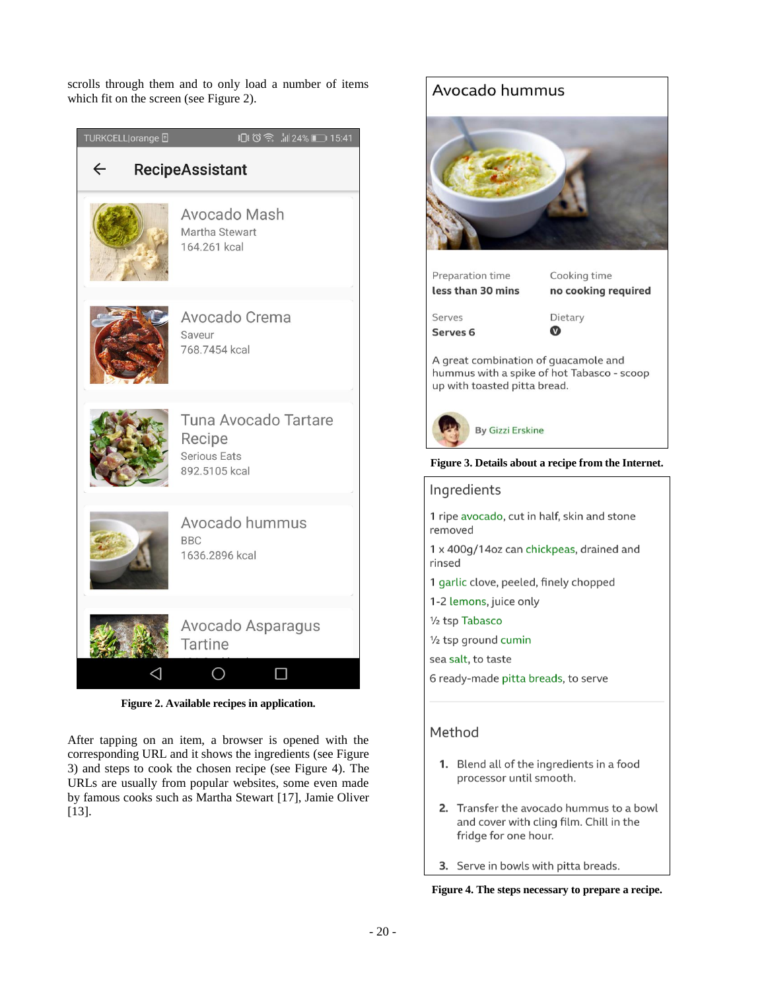scrolls through them and to only load a number of items which fit on the screen (see Figure 2).

| TURKCELL orange <b>F</b>               | 15:41 15:41 24% 15:41                                           |
|----------------------------------------|-----------------------------------------------------------------|
| $\leftarrow$<br><b>RecipeAssistant</b> |                                                                 |
|                                        | Avocado Mash<br>Martha Stewart<br>164.261 kcal                  |
|                                        | Avocado Crema<br>Saveur<br>768.7454 kcal                        |
|                                        | Tuna Avocado Tartare<br>Recipe<br>Serious Eats<br>892.5105 kcal |
|                                        | Avocado hummus<br><b>BBC</b><br>1636.2896 kcal                  |
|                                        | Avocado Asparagus<br><b>Tartine</b>                             |

**Figure 2. Available recipes in application.**

After tapping on an item, a browser is opened with the corresponding URL and it shows the ingredients (see Figure 3) and steps to cook the chosen recipe (see Figure 4). The URLs are usually from popular websites, some even made by famous cooks such as Martha Stewart [17], Jamie Oliver [13].



## Ingredients 1 ripe avocado, cut in half, skin and stone removed 1 x 400g/14oz can chickpeas, drained and rinsed 1 garlic clove, peeled, finely chopped 1-2 lemons, juice only 1/<sub>2</sub> tsp Tabasco 1/2 tsp ground cumin sea salt, to taste 6 ready-made pitta breads, to serve

### Method

- 1. Blend all of the ingredients in a food processor until smooth.
- 2. Transfer the avocado hummus to a bowl and cover with cling film. Chill in the fridge for one hour.
- 3. Serve in bowls with pitta breads.

**Figure 4. The steps necessary to prepare a recipe.**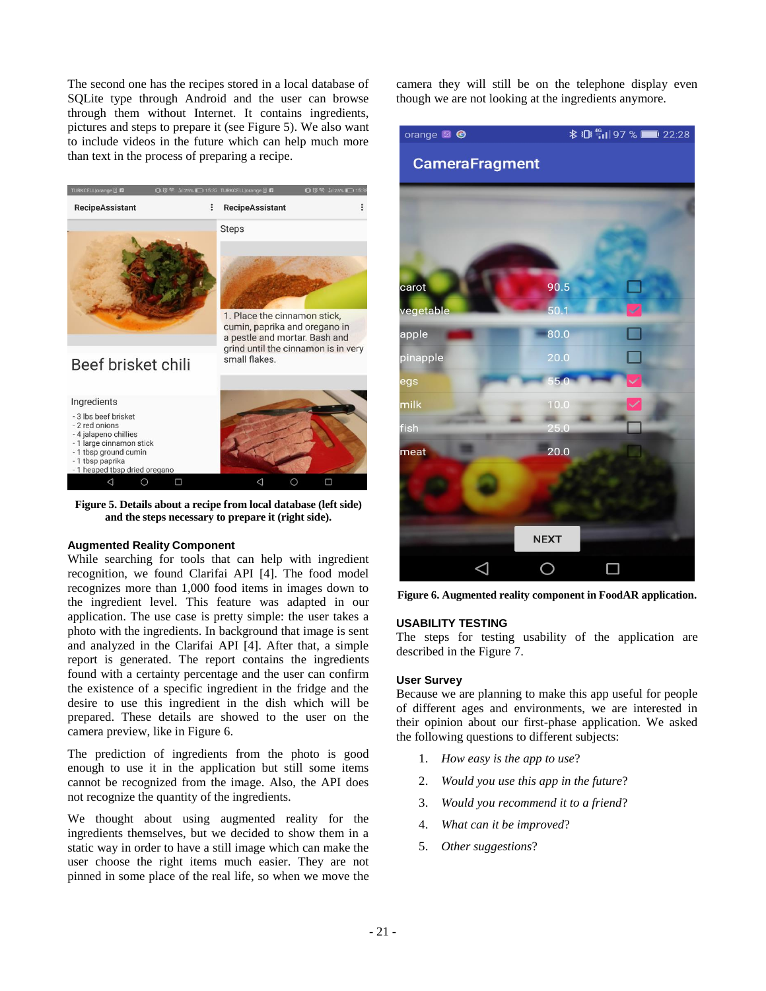The second one has the recipes stored in a local database of SQLite type through Android and the user can browse through them without Internet. It contains ingredients, pictures and steps to prepare it (see Figure 5). We also want to include videos in the future which can help much more than text in the process of preparing a recipe.



**Figure 5. Details about a recipe from local database (left side) and the steps necessary to prepare it (right side).**

#### **Augmented Reality Component**

While searching for tools that can help with ingredient recognition, we found Clarifai API [4]. The food model recognizes more than 1,000 food items in images down to the ingredient level. This feature was adapted in our application. The use case is pretty simple: the user takes a photo with the ingredients. In background that image is sent and analyzed in the Clarifai API [4]. After that, a simple report is generated. The report contains the ingredients found with a certainty percentage and the user can confirm the existence of a specific ingredient in the fridge and the desire to use this ingredient in the dish which will be prepared. These details are showed to the user on the camera preview, like in Figure 6.

The prediction of ingredients from the photo is good enough to use it in the application but still some items cannot be recognized from the image. Also, the API does not recognize the quantity of the ingredients.

We thought about using augmented reality for the ingredients themselves, but we decided to show them in a static way in order to have a still image which can make the user choose the right items much easier. They are not pinned in some place of the real life, so when we move the

camera they will still be on the telephone display even though we are not looking at the ingredients anymore.



**Figure 6. Augmented reality component in FoodAR application.**

#### **USABILITY TESTING**

The steps for testing usability of the application are described in the Figure 7.

#### **User Survey**

Because we are planning to make this app useful for people of different ages and environments, we are interested in their opinion about our first-phase application. We asked the following questions to different subjects:

- 1. *How easy is the app to use*?
- 2. *Would you use this app in the future*?
- 3. *Would you recommend it to a friend*?
- 4. *What can it be improved*?
- 5. *Other suggestions*?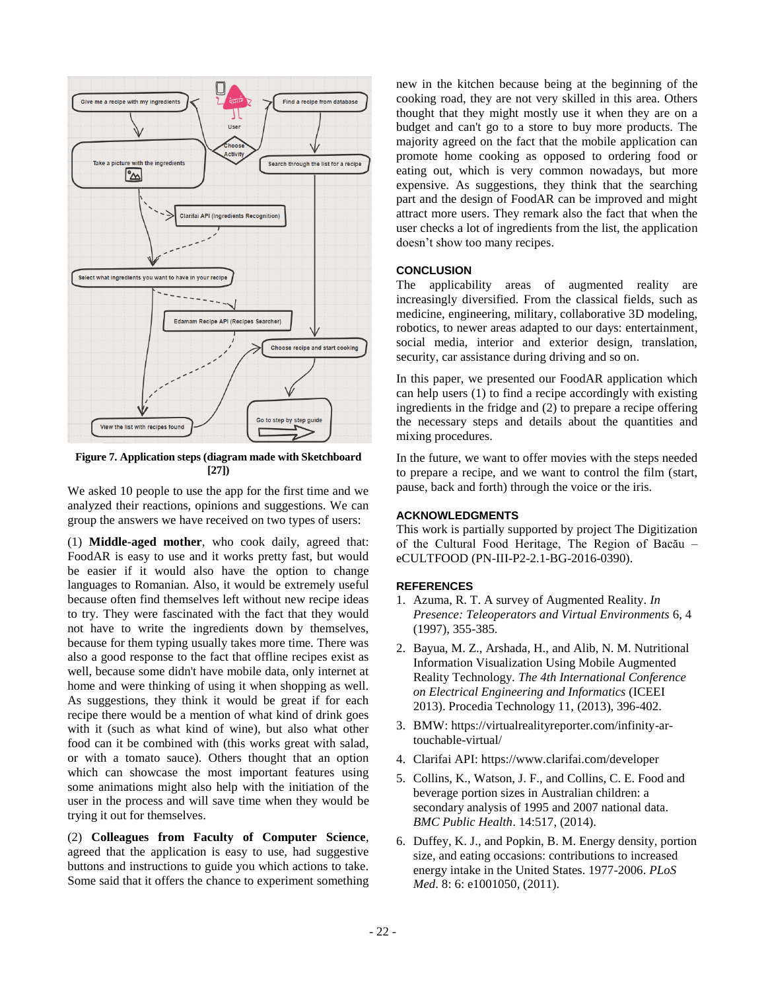

**Figure 7. Application steps (diagram made with Sketchboard [27])**

We asked 10 people to use the app for the first time and we analyzed their reactions, opinions and suggestions. We can group the answers we have received on two types of users:

(1) **Middle-aged mother**, who cook daily, agreed that: FoodAR is easy to use and it works pretty fast, but would be easier if it would also have the option to change languages to Romanian. Also, it would be extremely useful because often find themselves left without new recipe ideas to try. They were fascinated with the fact that they would not have to write the ingredients down by themselves, because for them typing usually takes more time. There was also a good response to the fact that offline recipes exist as well, because some didn't have mobile data, only internet at home and were thinking of using it when shopping as well. As suggestions, they think it would be great if for each recipe there would be a mention of what kind of drink goes with it (such as what kind of wine), but also what other food can it be combined with (this works great with salad, or with a tomato sauce). Others thought that an option which can showcase the most important features using some animations might also help with the initiation of the user in the process and will save time when they would be trying it out for themselves.

(2) **Colleagues from Faculty of Computer Science**, agreed that the application is easy to use, had suggestive buttons and instructions to guide you which actions to take. Some said that it offers the chance to experiment something new in the kitchen because being at the beginning of the cooking road, they are not very skilled in this area. Others thought that they might mostly use it when they are on a budget and can't go to a store to buy more products. The majority agreed on the fact that the mobile application can promote home cooking as opposed to ordering food or eating out, which is very common nowadays, but more expensive. As suggestions, they think that the searching part and the design of FoodAR can be improved and might attract more users. They remark also the fact that when the user checks a lot of ingredients from the list, the application doesn't show too many recipes.

#### **CONCLUSION**

The applicability areas of augmented reality are increasingly diversified. From the classical fields, such as medicine, engineering, military, collaborative 3D modeling, robotics, to newer areas adapted to our days: entertainment, social media, interior and exterior design, translation, security, car assistance during driving and so on.

In this paper, we presented our FoodAR application which can help users (1) to find a recipe accordingly with existing ingredients in the fridge and (2) to prepare a recipe offering the necessary steps and details about the quantities and mixing procedures.

In the future, we want to offer movies with the steps needed to prepare a recipe, and we want to control the film (start, pause, back and forth) through the voice or the iris.

#### **ACKNOWLEDGMENTS**

This work is partially supported by project The Digitization of the Cultural Food Heritage, The Region of Bacău – eCULTFOOD (PN-III-P2-2.1-BG-2016-0390).

#### **REFERENCES**

- 1. Azuma, R. T. A survey of Augmented Reality. *In Presence: Teleoperators and Virtual Environments* 6, 4 (1997), 355-385.
- 2. Bayua, M. Z., Arshada, H., and Alib, N. M. Nutritional Information Visualization Using Mobile Augmented Reality Technology. *The 4th International Conference on Electrical Engineering and Informatics* (ICEEI 2013). Procedia Technology 11, (2013), 396-402.
- 3. BMW: https://virtualrealityreporter.com/infinity-artouchable-virtual/
- 4. Clarifai API: https://www.clarifai.com/developer
- 5. Collins, K., Watson, J. F., and Collins, C. E. Food and beverage portion sizes in Australian children: a secondary analysis of 1995 and 2007 national data. *BMC Public Health*. 14:517, (2014).
- 6. Duffey, K. J., and Popkin, B. M. Energy density, portion size, and eating occasions: contributions to increased energy intake in the United States. 1977-2006. *PLoS Med*. 8: 6: e1001050, (2011).